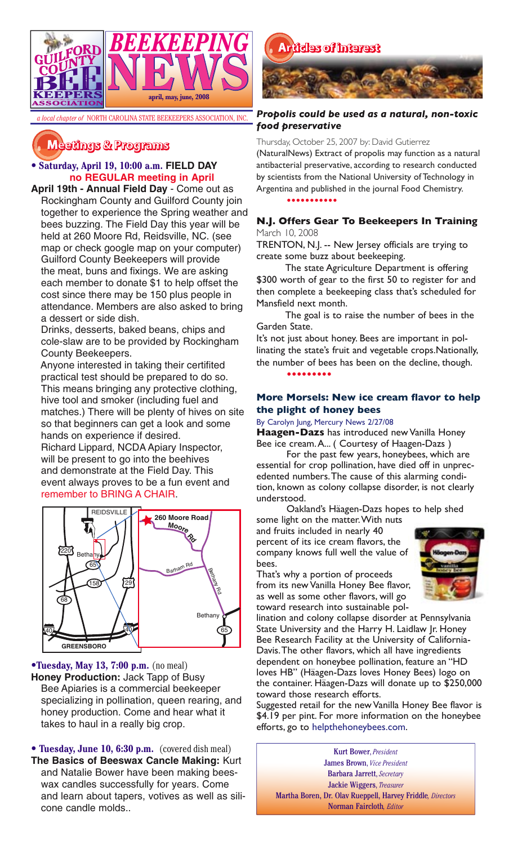

# **�������� � ��������**

# • **Saturday, April 19, 10:00 a.m. FIELD DAY no REGULAR meeting in April**

**April 19th - Annual Field Day** - Come out as Rockingham County and Guilford County join together to experience the Spring weather and bees buzzing. The Field Day this year will be held at 260 Moore Rd, Reidsville, NC. (see map or check google map on your computer) Guilford County Beekeepers will provide the meat, buns and fixings. We are asking each member to donate \$1 to help offset the cost since there may be 150 plus people in attendance. Members are also asked to bring a dessert or side dish.

Drinks, desserts, baked beans, chips and cole-slaw are to be provided by Rockingham County Beekeepers.

Anyone interested in taking their certifited practical test should be prepared to do so. This means bringing any protective clothing, hive tool and smoker (including fuel and matches.) There will be plenty of hives on site so that beginners can get a look and some hands on experience if desired.

Richard Lippard, NCDA Apiary Inspector, will be present to go into the beehives and demonstrate at the Field Day. This event always proves to be a fun event and remember to BRING A CHAIR.



•**Tuesday, May 13, 7:00 p.m.** (no meal) **Honey Production:** Jack Tapp of Busy Bee Apiaries is a commercial beekeeper specializing in pollination, queen rearing, and honey production. Come and hear what it takes to haul in a really big crop.

**• Tuesday, June 10, 6:30 p.m.** (covered dish meal) **The Basics of Beeswax Cancle Making:** Kurt and Natalie Bower have been making beeswax candles successfully for years. Come and learn about tapers, votives as well as silicone candle molds..



# *Propolis could be used as a natural, non-toxic food preservative*

Thursday, October 25, 2007 by: David Gutierrez

(NaturalNews) Extract of propolis may function as a natural antibacterial preservative, according to research conducted by scientists from the National University of Technology in Argentina and published in the journal Food Chemistry.

**•••••••••••**

# **N.J. Offers Gear To Beekeepers In Training** March 10, 2008

TRENTON, N.J. -- New Jersey officials are trying to create some buzz about beekeeping.

The state Agriculture Department is offering \$300 worth of gear to the first 50 to register for and then complete a beekeeping class that's scheduled for Mansfield next month.

The goal is to raise the number of bees in the Garden State.

It's not just about honey. Bees are important in pollinating the state's fruit and vegetable crops.Nationally, the number of bees has been on the decline, though. **•••••••••**

# **More Morsels: New ice cream flavor to help the plight of honey bees**

### By Carolyn Jung, Mercury News 2/27/08

**Haagen-Dazs** has introduced new Vanilla Honey Bee ice cream. A... ( Courtesy of Haagen-Dazs )

For the past few years, honeybees, which are essential for crop pollination, have died off in unprecedented numbers. The cause of this alarming condition, known as colony collapse disorder, is not clearly understood.

Oakland's Häagen-Dazs hopes to help shed some light on the matter. With nuts

and fruits included in nearly 40 percent of its ice cream flavors, the company knows full well the value of bees.

That's why a portion of proceeds from its new Vanilla Honey Bee flavor, as well as some other flavors, will go toward research into sustainable pol-



lination and colony collapse disorder at Pennsylvania State University and the Harry H. Laidlaw Jr. Honey Bee Research Facility at the University of California-Davis. The other flavors, which all have ingredients dependent on honeybee pollination, feature an "HD loves HB" (Häagen-Dazs loves Honey Bees) logo on the container. Häagen-Dazs will donate up to \$250,000 toward those research efforts.

Suggested retail for the new Vanilla Honey Bee flavor is \$4.19 per pint. For more information on the honeybee efforts, go to helpthehoneybees.com.

Kurt Bower, *President* James Brown, *Vice President* Barbara Jarrett, *Secretary* Jackie Wiggers, *Treasurer* Martha Boren, Dr. Olav Rueppell, Harvey Friddle*, Directors* Norman Faircloth*, Editor*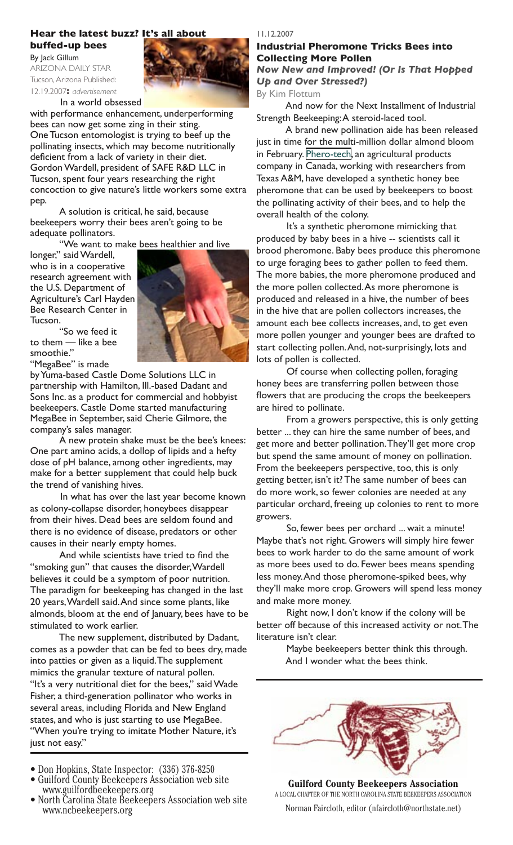# **Hear the latest buzz? It's all about buffed-up bees**

By Jack Gillum ARIZONA DAILY STAR Tucson, Arizona Published: 12.19.2007**:** *advertisement*



In a world obsessed

with performance enhancement, underperforming bees can now get some zing in their sting. One Tucson entomologist is trying to beef up the pollinating insects, which may become nutritionally deficient from a lack of variety in their diet. Gordon Wardell, president of SAFE R&D LLC in Tucson, spent four years researching the right concoction to give nature's little workers some extra pep.

A solution is critical, he said, because beekeepers worry their bees aren't going to be adequate pollinators.

"We want to make bees healthier and live

longer," said Wardell, who is in a cooperative research agreement with the U.S. Department of Agriculture's Carl Hayden Bee Research Center in Tucson.



by Yuma-based Castle Dome Solutions LLC in partnership with Hamilton, Ill.-based Dadant and Sons Inc. as a product for commercial and hobbyist beekeepers. Castle Dome started manufacturing MegaBee in September, said Cherie Gilmore, the company's sales manager.

A new protein shake must be the bee's knees: One part amino acids, a dollop of lipids and a hefty dose of pH balance, among other ingredients, may make for a better supplement that could help buck the trend of vanishing hives.

In what has over the last year become known as colony-collapse disorder, honeybees disappear from their hives. Dead bees are seldom found and there is no evidence of disease, predators or other causes in their nearly empty homes.

And while scientists have tried to find the "smoking gun" that causes the disorder, Wardell believes it could be a symptom of poor nutrition. The paradigm for beekeeping has changed in the last 20 years, Wardell said. And since some plants, like almonds, bloom at the end of January, bees have to be stimulated to work earlier.

The new supplement, distributed by Dadant, comes as a powder that can be fed to bees dry, made into patties or given as a liquid. The supplement mimics the granular texture of natural pollen. "It's a very nutritional diet for the bees," said Wade Fisher, a third-generation pollinator who works in several areas, including Florida and New England states, and who is just starting to use MegaBee. "When you're trying to imitate Mother Nature, it's just not easy."

- 
- Don Hopkins, State Inspector: (336) 376-8250 Guilford County Beekeepers Association web site www.guilfordbeekeepers.org North Carolina State Beekeepers Association web site
- www.ncbeekeepers.org

#### 11.12.2007

# **Industrial Pheromone Tricks Bees into Collecting More Pollen**

*Now New and Improved! (Or Is That Hopped Up and Over Stressed?)*

#### By Kim Flottum

And now for the Next Installment of Industrial Strength Beekeeping: A steroid-laced tool.

A brand new pollination aide has been released just in time for the multi-million dollar almond bloom in February. [Phero-tech](http://www.pherotech.com/), an agricultural products company in Canada, working with researchers from Texas A&M, have developed a synthetic honey bee pheromone that can be used by beekeepers to boost the pollinating activity of their bees, and to help the overall health of the colony.

It's a synthetic pheromone mimicking that produced by baby bees in a hive -- scientists call it brood pheromone. Baby bees produce this pheromone to urge foraging bees to gather pollen to feed them. The more babies, the more pheromone produced and the more pollen collected. As more pheromone is produced and released in a hive, the number of bees in the hive that are pollen collectors increases, the amount each bee collects increases, and, to get even more pollen younger and younger bees are drafted to start collecting pollen. And, not-surprisingly, lots and lots of pollen is collected.

Of course when collecting pollen, foraging honey bees are transferring pollen between those flowers that are producing the crops the beekeepers are hired to pollinate.

From a growers perspective, this is only getting better ... they can hire the same number of bees, and get more and better pollination. They'll get more crop but spend the same amount of money on pollination. From the beekeepers perspective, too, this is only getting better, isn't it? The same number of bees can do more work, so fewer colonies are needed at any particular orchard, freeing up colonies to rent to more growers.

So, fewer bees per orchard ... wait a minute! Maybe that's not right. Growers will simply hire fewer bees to work harder to do the same amount of work as more bees used to do. Fewer bees means spending less money. And those pheromone-spiked bees, why they'll make more crop. Growers will spend less money and make more money.

Right now, I don't know if the colony will be better off because of this increased activity or not. The literature isn't clear.

> Maybe beekeepers better think this through. And I wonder what the bees think.



**Guilford County Beekeepers Association** A LOCAL CHAPTER OF THE NORTH CAROLINA STATE BEEKEEPERS ASSOCIATION Norman Faircloth, editor (nfaircloth@northstate.net)